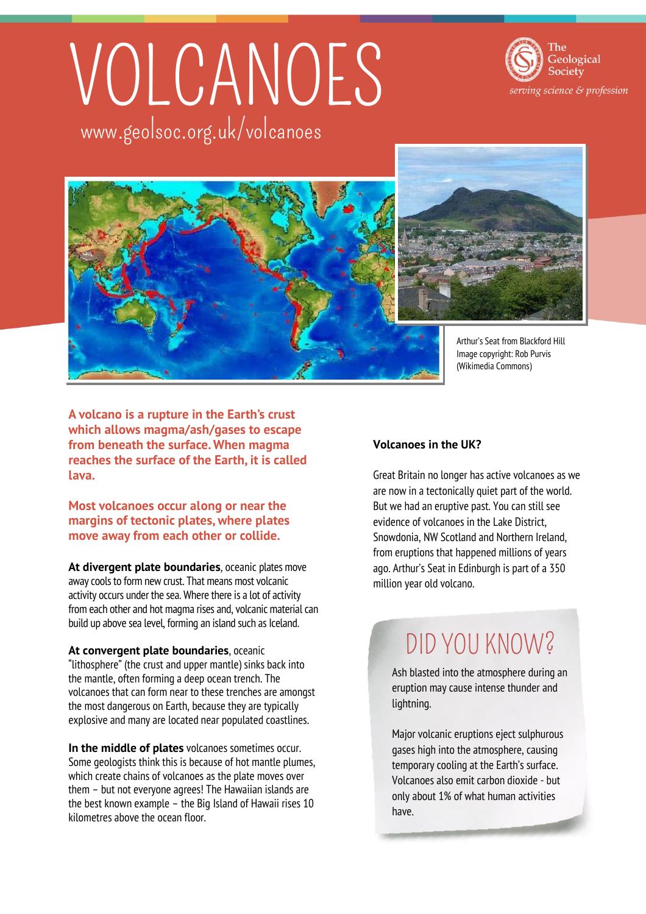# VOLCANOES www.geolsoc.org.uk/volcanoes





Arthur's Seat from Blackford Hill Image copyright: Rob Purvis

**A volcano is a rupture in the Earth's crust which allows magma/ash/gases to escape from beneath the surface. When magma reaches the surface of the Earth, it is called lava.**

**Most volcanoes occur along or near the margins of tectonic plates, where plates move away from each other or collide.**

**At divergent plate boundaries**, oceanic plates move away cools to form new crust. That means most volcanic activity occurs under the sea. Where there is a lot of activity from each other and hot magma rises and, volcanic material can build up above sea level, forming an island such as Iceland.

**At convergent plate boundaries**, oceanic "lithosphere" (the crust and upper mantle) sinks back into the mantle, often forming a deep ocean trench. The volcanoes that can form near to these trenches are amongst the most dangerous on Earth, because they are typically explosive and many are located near populated coastlines.

**In the middle of plates** volcanoes sometimes occur. Some geologists think this is because of hot mantle plumes, which create chains of volcanoes as the plate moves over them – but not everyone agrees! The Hawaiian islands are the best known example – the Big Island of Hawaii rises 10 kilometres above the ocean floor.

#### **Volcanoes in the UK?**

Great Britain no longer has active volcanoes as we are now in a tectonically quiet part of the world. But we had an eruptive past. You can still see evidence of volcanoes in the Lake District, Snowdonia, NW Scotland and Northern Ireland, from eruptions that happened millions of years ago. Arthur's Seat in Edinburgh is part of a 350 million year old volcano.

### DID YOU KNOW?

Ash blasted into the atmosphere during an eruption may cause intense thunder and lightning.

Major volcanic eruptions eject sulphurous gases high into the atmosphere, causing temporary cooling at the Earth's surface. Volcanoes also emit carbon dioxide - but only about 1% of what human activities have.